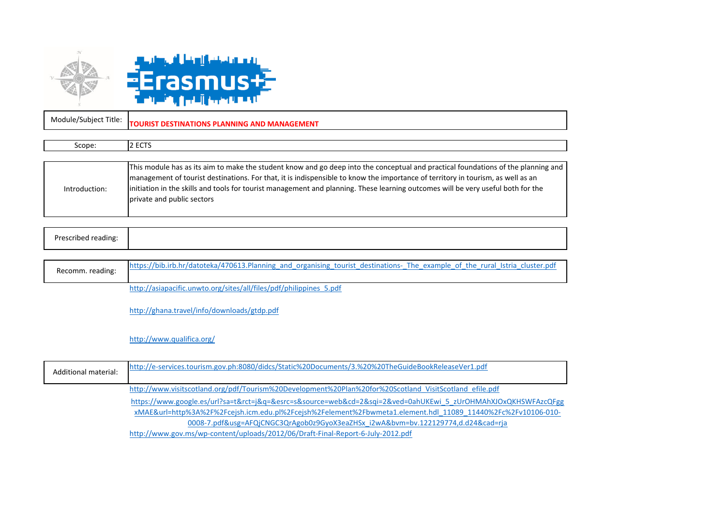

2 ECTS

Scope:

Module/Subject Title: **TOURIST DESTINATIONS PLANNING AND MANAGEMENT**

|               | This module has as its aim to make the student know and go deep into the conceptual and practical foundations of the planning and |
|---------------|-----------------------------------------------------------------------------------------------------------------------------------|
|               | management of tourist destinations. For that, it is indispensible to know the importance of territory in tourism, as well as an   |
| Introduction: | initiation in the skills and tools for tourist management and planning. These learning outcomes will be very useful both for the  |
|               | private and public sectors                                                                                                        |
|               |                                                                                                                                   |

|--|

| Recomm. reading: | https://bib.irb.hr/datoteka/470613.Planning and organising tourist destinations- The example of the rural Istria cluster.pdf |
|------------------|------------------------------------------------------------------------------------------------------------------------------|
|                  | http://asiapacific.unwto.org/sites/all/files/pdf/philippines 5.pdf                                                           |

http://ghana.travel/info/downloads/gtdp.pdf

<http://www.qualifica.org/>

| http://e-services.tourism.gov.ph:8080/didcs/Static%20Documents/3.%20%20TheGuideBookReleaseVer1.pdf<br>Additional material: |                                                                                                               |  |
|----------------------------------------------------------------------------------------------------------------------------|---------------------------------------------------------------------------------------------------------------|--|
|                                                                                                                            | http://www.visitscotland.org/pdf/Tourism%20Development%20Plan%20for%20Scotland VisitScotland efile.pdf        |  |
|                                                                                                                            | https://www.google.es/url?sa=t&rct=j&q=&esrc=s&source=web&cd=2&sqi=2&ved=0ahUKEwi 5 zUrOHMAhXJOxQKHSWFAzcQFgg |  |
|                                                                                                                            | xMAE&url=http%3A%2F%2Fcejsh.icm.edu.pl%2Fcejsh%2Felement%2Fbwmeta1.element.hdl 11089 11440%2Fc%2Fv10106-010-  |  |
|                                                                                                                            | 0008-7.pdf&usg=AFQjCNGC3QrAgob0z9GyoX3eaZHSx_i2wA&bvm=bv.122129774,d.d24&cad=rja                              |  |
|                                                                                                                            | http://www.gov.ms/wp-content/uploads/2012/06/Draft-Final-Report-6-July-2012.pdf                               |  |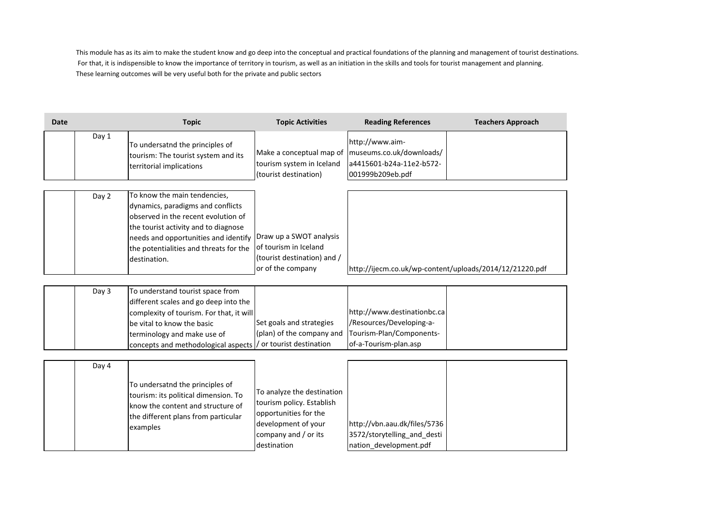This module has as its aim to make the student know and go deep into the conceptual and practical foundations of the planning and management of tourist destinations. For that, it is indispensible to know the importance of territory in tourism, as well as an initiation in the skills and tools for tourist management and planning. These learning outcomes will be very useful both for the private and public sectors

| Date |       | <b>Topic</b>                                                                                                                                                                                                                                       | <b>Topic Activities</b>                                                                                                                        | <b>Reading References</b>                                                                                    | <b>Teachers Approach</b>                                |
|------|-------|----------------------------------------------------------------------------------------------------------------------------------------------------------------------------------------------------------------------------------------------------|------------------------------------------------------------------------------------------------------------------------------------------------|--------------------------------------------------------------------------------------------------------------|---------------------------------------------------------|
|      | Day 1 | To undersatnd the principles of<br>tourism: The tourist system and its<br>territorial implications                                                                                                                                                 | Make a conceptual map of<br>tourism system in Iceland<br>(tourist destination)                                                                 | http://www.aim-<br>museums.co.uk/downloads/<br>a4415601-b24a-11e2-b572-<br>001999b209eb.pdf                  |                                                         |
|      | Day 2 | To know the main tendencies,<br>dynamics, paradigms and conflicts<br>observed in the recent evolution of<br>the tourist activity and to diagnose<br>needs and opportunities and identify<br>the potentialities and threats for the<br>destination. | Draw up a SWOT analysis<br>of tourism in Iceland<br>(tourist destination) and /<br>or of the company                                           |                                                                                                              | http://ijecm.co.uk/wp-content/uploads/2014/12/21220.pdf |
|      | Day 3 | To understand tourist space from<br>different scales and go deep into the<br>complexity of tourism. For that, it will<br>be vital to know the basic<br>terminology and make use of<br>concepts and methodological aspects                          | Set goals and strategies<br>(plan) of the company and<br>/ or tourist destination                                                              | http://www.destinationbc.ca<br>/Resources/Developing-a-<br>Tourism-Plan/Components-<br>of-a-Tourism-plan.asp |                                                         |
|      | Day 4 | To undersatnd the principles of<br>tourism: its political dimension. To<br>know the content and structure of<br>the different plans from particular<br>examples                                                                                    | To analyze the destination<br>tourism policy. Establish<br>opportunities for the<br>development of your<br>company and / or its<br>destination | http://vbn.aau.dk/files/5736<br>3572/storytelling_and_desti<br>nation development.pdf                        |                                                         |